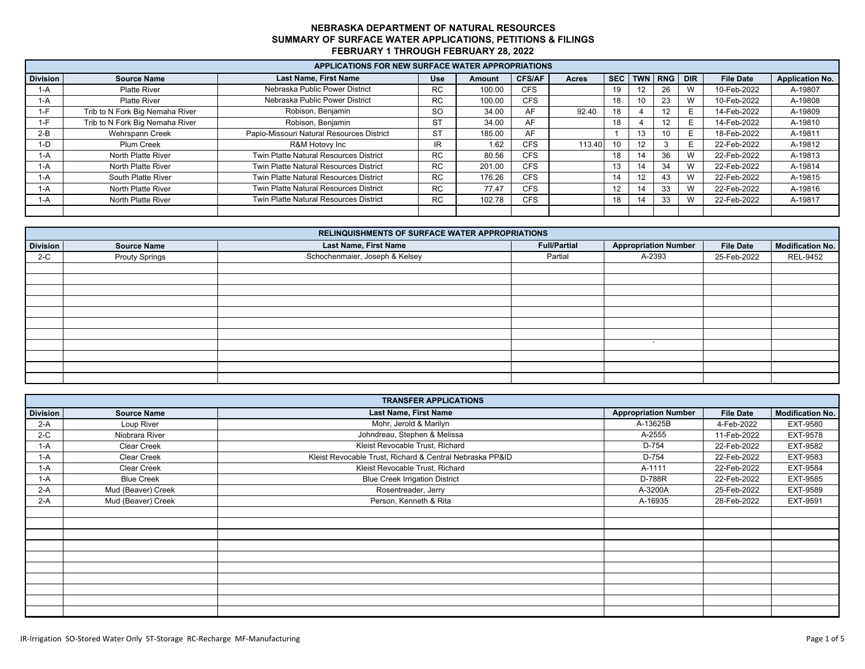|                 | APPLICATIONS FOR NEW SURFACE WATER APPROPRIATIONS |                                           |            |        |               |        |    |     |                 |   |                  |                        |
|-----------------|---------------------------------------------------|-------------------------------------------|------------|--------|---------------|--------|----|-----|-----------------|---|------------------|------------------------|
| <b>Division</b> | <b>Source Name</b>                                | <b>Last Name, First Name</b>              | <b>Use</b> | Amount | <b>CFS/AF</b> | Acres  |    |     | SEC TWN RNG DIR |   | <b>File Date</b> | <b>Application No.</b> |
| 1-A             | <b>Platte River</b>                               | Nebraska Public Power District            | RC.        | 100.00 | <b>CFS</b>    |        | 19 |     | 26              |   | 10-Feb-2022      | A-19807                |
| 1-A             | <b>Platte River</b>                               | Nebraska Public Power District            | RC.        | 100.00 | <b>CFS</b>    |        | 18 | 10  | 23              | W | 10-Feb-2022      | A-19808                |
| $1-F$           | Trib to N Fork Big Nemaha River                   | Robison, Benjamin                         | <b>SO</b>  | 34.00  | AF            | 92.40  | 18 |     | 12              | Е | 14-Feb-2022      | A-19809                |
| $1-F$           | Trib to N Fork Big Nemaha River                   | Robison, Benjamin                         | <b>ST</b>  | 34.00  | AF            |        | 18 |     | 12              | Е | 14-Feb-2022      | A-19810                |
| $2-B$           | Wehrspann Creek                                   | Papio-Missouri Natural Resources District | <b>ST</b>  | 185.00 | AF            |        |    | ٦.5 | 10              |   | 18-Feb-2022      | A-19811                |
| $1-D$           | Plum Creek                                        | R&M Hotovy Inc                            | IR.        | 1.62   | <b>CFS</b>    | 113.40 | 10 |     |                 | F | 22-Feb-2022      | A-19812                |
| 1-A             | North Platte River                                | Twin Platte Natural Resources District    | RC.        | 80.56  | <b>CFS</b>    |        | 18 | 14  | 36              | W | 22-Feb-2022      | A-19813                |
| 1-A             | North Platte River                                | Twin Platte Natural Resources District    | RC.        | 201.00 | <b>CFS</b>    |        | 13 |     | 34              | W | 22-Feb-2022      | A-19814                |
| 1-A             | South Platte River                                | Twin Platte Natural Resources District    | RC.        | 176.26 | <b>CFS</b>    |        | 14 | 12  | 43              | W | 22-Feb-2022      | A-19815                |
| 1-A             | North Platte River                                | Twin Platte Natural Resources District    | RC.        | 77.47  | <b>CFS</b>    |        | 12 |     | 33              | W | 22-Feb-2022      | A-19816                |
| 1-A             | <b>North Platte River</b>                         | Twin Platte Natural Resources District    | RC.        | 102.78 | <b>CFS</b>    |        | 18 |     | 33              | W | 22-Feb-2022      | A-19817                |
|                 |                                                   |                                           |            |        |               |        |    |     |                 |   |                  |                        |

|                 |                       | RELINQUISHMENTS OF SURFACE WATER APPROPRIATIONS |                     |                             |                  |                  |
|-----------------|-----------------------|-------------------------------------------------|---------------------|-----------------------------|------------------|------------------|
| <b>Division</b> | <b>Source Name</b>    | Last Name, First Name                           | <b>Full/Partial</b> | <b>Appropriation Number</b> | <b>File Date</b> | Modification No. |
| $2-C$           | <b>Prouty Springs</b> | Schochenmaier, Joseph & Kelsey                  | Partial             | A-2393                      | 25-Feb-2022      | <b>REL-9452</b>  |
|                 |                       |                                                 |                     |                             |                  |                  |
|                 |                       |                                                 |                     |                             |                  |                  |
|                 |                       |                                                 |                     |                             |                  |                  |
|                 |                       |                                                 |                     |                             |                  |                  |
|                 |                       |                                                 |                     |                             |                  |                  |
|                 |                       |                                                 |                     |                             |                  |                  |
|                 |                       |                                                 |                     |                             |                  |                  |
|                 |                       |                                                 |                     |                             |                  |                  |
|                 |                       |                                                 |                     |                             |                  |                  |
|                 |                       |                                                 |                     |                             |                  |                  |
|                 |                       |                                                 |                     |                             |                  |                  |

|                 | <b>TRANSFER APPLICATIONS</b> |                                                          |                             |                  |                         |  |  |  |  |  |  |  |
|-----------------|------------------------------|----------------------------------------------------------|-----------------------------|------------------|-------------------------|--|--|--|--|--|--|--|
| <b>Division</b> | <b>Source Name</b>           | Last Name, First Name                                    | <b>Appropriation Number</b> | <b>File Date</b> | <b>Modification No.</b> |  |  |  |  |  |  |  |
| $2-A$           | Loup River                   | Mohr, Jerold & Marilyn                                   | A-13625B                    | 4-Feb-2022       | EXT-9580                |  |  |  |  |  |  |  |
| $2-C$           | Niobrara River               | Johndreau, Stephen & Melissa                             | A-2555                      | 11-Feb-2022      | EXT-9578                |  |  |  |  |  |  |  |
| $1-A$           | Clear Creek                  | Kleist Revocable Trust, Richard                          | D-754                       | 22-Feb-2022      | EXT-9582                |  |  |  |  |  |  |  |
| $1-A$           | Clear Creek                  | Kleist Revocable Trust, Richard & Central Nebraska PP&ID | D-754                       | 22-Feb-2022      | EXT-9583                |  |  |  |  |  |  |  |
| $1-A$           | Clear Creek                  | Kleist Revocable Trust, Richard                          | A-1111                      | 22-Feb-2022      | EXT-9584                |  |  |  |  |  |  |  |
| $1-A$           | <b>Blue Creek</b>            | <b>Blue Creek Irrigation District</b>                    | D-788R                      | 22-Feb-2022      | EXT-9585                |  |  |  |  |  |  |  |
| $2-A$           | Mud (Beaver) Creek           | Rosentreader, Jerry                                      | A-3200A                     | 25-Feb-2022      | EXT-9589                |  |  |  |  |  |  |  |
| $2-A$           | Mud (Beaver) Creek           | Person, Kenneth & Rita                                   | A-16935                     | 28-Feb-2022      | EXT-9591                |  |  |  |  |  |  |  |
|                 |                              |                                                          |                             |                  |                         |  |  |  |  |  |  |  |
|                 |                              |                                                          |                             |                  |                         |  |  |  |  |  |  |  |
|                 |                              |                                                          |                             |                  |                         |  |  |  |  |  |  |  |
|                 |                              |                                                          |                             |                  |                         |  |  |  |  |  |  |  |
|                 |                              |                                                          |                             |                  |                         |  |  |  |  |  |  |  |
|                 |                              |                                                          |                             |                  |                         |  |  |  |  |  |  |  |
|                 |                              |                                                          |                             |                  |                         |  |  |  |  |  |  |  |
|                 |                              |                                                          |                             |                  |                         |  |  |  |  |  |  |  |
|                 |                              |                                                          |                             |                  |                         |  |  |  |  |  |  |  |
|                 |                              |                                                          |                             |                  |                         |  |  |  |  |  |  |  |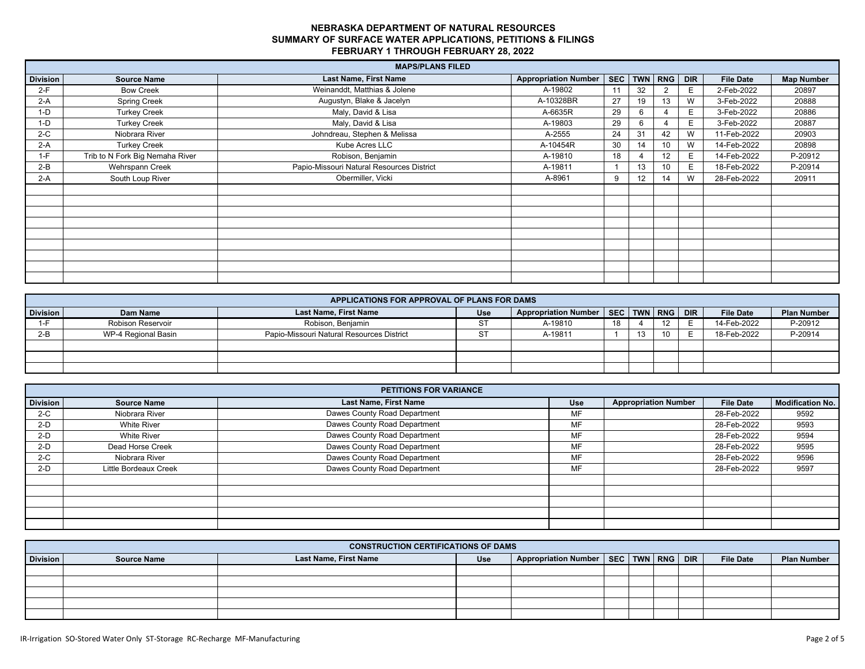|                 | <b>MAPS/PLANS FILED</b>         |                                           |                             |    |    |                 |            |                  |                   |  |  |
|-----------------|---------------------------------|-------------------------------------------|-----------------------------|----|----|-----------------|------------|------------------|-------------------|--|--|
| <b>Division</b> | <b>Source Name</b>              | <b>Last Name, First Name</b>              | <b>Appropriation Number</b> |    |    | SEC   TWN   RNG | <b>DIR</b> | <b>File Date</b> | <b>Map Number</b> |  |  |
| $2-F$           | <b>Bow Creek</b>                | Weinanddt, Matthias & Jolene              | A-19802                     | 11 | 32 |                 | E.         | 2-Feb-2022       | 20897             |  |  |
| $2-A$           | <b>Spring Creek</b>             | Augustyn, Blake & Jacelyn                 | A-10328BR                   | 27 | 19 | 13              | W          | 3-Feb-2022       | 20888             |  |  |
| $1-D$           | <b>Turkey Creek</b>             | Maly, David & Lisa                        | A-6635R                     | 29 | 6  |                 | E.         | 3-Feb-2022       | 20886             |  |  |
| $1-D$           | <b>Turkey Creek</b>             | Maly, David & Lisa                        | A-19803                     | 29 | 6  |                 |            | 3-Feb-2022       | 20887             |  |  |
| $2-C$           | Niobrara River                  | Johndreau, Stephen & Melissa              | A-2555                      | 24 | 31 | 42              | W          | 11-Feb-2022      | 20903             |  |  |
| $2-A$           | <b>Turkey Creek</b>             | Kube Acres LLC                            | A-10454R                    | 30 | 14 | 10              | W          | 14-Feb-2022      | 20898             |  |  |
| $1-F$           | Trib to N Fork Big Nemaha River | Robison, Benjamin                         | A-19810                     | 18 |    | 12              | E.         | 14-Feb-2022      | P-20912           |  |  |
| $2-B$           | Wehrspann Creek                 | Papio-Missouri Natural Resources District | A-19811                     | 1  | 13 | 10              | E.         | 18-Feb-2022      | P-20914           |  |  |
| $2-A$           | South Loup River                | Obermiller, Vicki                         | A-8961                      | 9  | 12 | 14              | W          | 28-Feb-2022      | 20911             |  |  |
|                 |                                 |                                           |                             |    |    |                 |            |                  |                   |  |  |
|                 |                                 |                                           |                             |    |    |                 |            |                  |                   |  |  |
|                 |                                 |                                           |                             |    |    |                 |            |                  |                   |  |  |
|                 |                                 |                                           |                             |    |    |                 |            |                  |                   |  |  |
|                 |                                 |                                           |                             |    |    |                 |            |                  |                   |  |  |
|                 |                                 |                                           |                             |    |    |                 |            |                  |                   |  |  |
|                 |                                 |                                           |                             |    |    |                 |            |                  |                   |  |  |
|                 |                                 |                                           |                             |    |    |                 |            |                  |                   |  |  |
|                 |                                 |                                           |                             |    |    |                 |            |                  |                   |  |  |

|                 | APPLICATIONS FOR APPROVAL OF PLANS FOR DAMS |                                           |     |                                        |    |          |    |            |                  |                    |
|-----------------|---------------------------------------------|-------------------------------------------|-----|----------------------------------------|----|----------|----|------------|------------------|--------------------|
| <b>Division</b> | Dam Name                                    | <b>Last Name, First Name</b>              | Use | Appropriation Number   SEC   TWN   RNG |    |          |    | <b>DIR</b> | <b>File Date</b> | <b>Plan Number</b> |
|                 | Robison Reservoir                           | Robison, Benjamin                         |     | A-19810                                | 18 |          |    |            | 14-Feb-2022      | P-20912            |
| $2-B$           | WP-4 Regional Basin                         | Papio-Missouri Natural Resources District | ◡   | A-19811                                |    | 12<br>د١ | 10 |            | 18-Feb-2022      | P-20914            |
|                 |                                             |                                           |     |                                        |    |          |    |            |                  |                    |
|                 |                                             |                                           |     |                                        |    |          |    |            |                  |                    |
|                 |                                             |                                           |     |                                        |    |          |    |            |                  |                    |

|          | <b>PETITIONS FOR VARIANCE</b> |                              |     |                             |                  |                         |  |  |  |  |  |  |
|----------|-------------------------------|------------------------------|-----|-----------------------------|------------------|-------------------------|--|--|--|--|--|--|
| Division | <b>Source Name</b>            | Last Name, First Name        | Use | <b>Appropriation Number</b> | <b>File Date</b> | <b>Modification No.</b> |  |  |  |  |  |  |
| $2-C$    | Niobrara River                | Dawes County Road Department | MF  |                             | 28-Feb-2022      | 9592                    |  |  |  |  |  |  |
| $2-D$    | White River                   | Dawes County Road Department | MF  |                             | 28-Feb-2022      | 9593                    |  |  |  |  |  |  |
| $2-D$    | <b>White River</b>            | Dawes County Road Department | MF  |                             | 28-Feb-2022      | 9594                    |  |  |  |  |  |  |
| $2-D$    | Dead Horse Creek              | Dawes County Road Department | MF  |                             | 28-Feb-2022      | 9595                    |  |  |  |  |  |  |
| $2-C$    | Niobrara River                | Dawes County Road Department | MF  |                             | 28-Feb-2022      | 9596                    |  |  |  |  |  |  |
| $2-D$    | Little Bordeaux Creek         | Dawes County Road Department | MF  |                             | 28-Feb-2022      | 9597                    |  |  |  |  |  |  |
|          |                               |                              |     |                             |                  |                         |  |  |  |  |  |  |
|          |                               |                              |     |                             |                  |                         |  |  |  |  |  |  |
|          |                               |                              |     |                             |                  |                         |  |  |  |  |  |  |
|          |                               |                              |     |                             |                  |                         |  |  |  |  |  |  |
|          |                               |                              |     |                             |                  |                         |  |  |  |  |  |  |

|                 | <b>CONSTRUCTION CERTIFICATIONS OF DAMS</b> |                       |     |                                              |  |  |  |  |                  |                    |
|-----------------|--------------------------------------------|-----------------------|-----|----------------------------------------------|--|--|--|--|------------------|--------------------|
| <b>Division</b> | <b>Source Name</b>                         | Last Name, First Name | Use | Appropriation Number   SEC   TWN   RNG   DIR |  |  |  |  | <b>File Date</b> | <b>Plan Number</b> |
|                 |                                            |                       |     |                                              |  |  |  |  |                  |                    |
|                 |                                            |                       |     |                                              |  |  |  |  |                  |                    |
|                 |                                            |                       |     |                                              |  |  |  |  |                  |                    |
|                 |                                            |                       |     |                                              |  |  |  |  |                  |                    |
|                 |                                            |                       |     |                                              |  |  |  |  |                  |                    |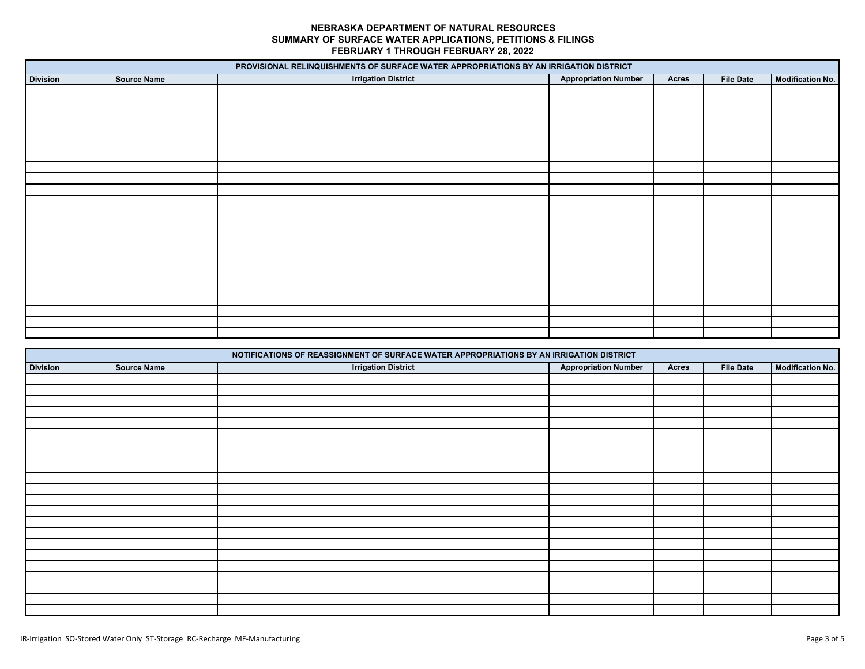|                 |                    | PROVISIONAL RELINQUISHMENTS OF SURFACE WATER APPROPRIATIONS BY AN IRRIGATION DISTRICT |                             |              |                  |                         |
|-----------------|--------------------|---------------------------------------------------------------------------------------|-----------------------------|--------------|------------------|-------------------------|
| <b>Division</b> | <b>Source Name</b> | <b>Irrigation District</b>                                                            | <b>Appropriation Number</b> | <b>Acres</b> | <b>File Date</b> | <b>Modification No.</b> |
|                 |                    |                                                                                       |                             |              |                  |                         |
|                 |                    |                                                                                       |                             |              |                  |                         |
|                 |                    |                                                                                       |                             |              |                  |                         |
|                 |                    |                                                                                       |                             |              |                  |                         |
|                 |                    |                                                                                       |                             |              |                  |                         |
|                 |                    |                                                                                       |                             |              |                  |                         |
|                 |                    |                                                                                       |                             |              |                  |                         |
|                 |                    |                                                                                       |                             |              |                  |                         |
|                 |                    |                                                                                       |                             |              |                  |                         |
|                 |                    |                                                                                       |                             |              |                  |                         |
|                 |                    |                                                                                       |                             |              |                  |                         |
|                 |                    |                                                                                       |                             |              |                  |                         |
|                 |                    |                                                                                       |                             |              |                  |                         |
|                 |                    |                                                                                       |                             |              |                  |                         |
|                 |                    |                                                                                       |                             |              |                  |                         |
|                 |                    |                                                                                       |                             |              |                  |                         |
|                 |                    |                                                                                       |                             |              |                  |                         |
|                 |                    |                                                                                       |                             |              |                  |                         |
|                 |                    |                                                                                       |                             |              |                  |                         |
|                 |                    |                                                                                       |                             |              |                  |                         |
|                 |                    |                                                                                       |                             |              |                  |                         |
|                 |                    |                                                                                       |                             |              |                  |                         |
|                 |                    |                                                                                       |                             |              |                  |                         |

|                 |                    | NOTIFICATIONS OF REASSIGNMENT OF SURFACE WATER APPROPRIATIONS BY AN IRRIGATION DISTRICT |                             |              |                  |                         |
|-----------------|--------------------|-----------------------------------------------------------------------------------------|-----------------------------|--------------|------------------|-------------------------|
| <b>Division</b> | <b>Source Name</b> | <b>Irrigation District</b>                                                              | <b>Appropriation Number</b> | <b>Acres</b> | <b>File Date</b> | <b>Modification No.</b> |
|                 |                    |                                                                                         |                             |              |                  |                         |
|                 |                    |                                                                                         |                             |              |                  |                         |
|                 |                    |                                                                                         |                             |              |                  |                         |
|                 |                    |                                                                                         |                             |              |                  |                         |
|                 |                    |                                                                                         |                             |              |                  |                         |
|                 |                    |                                                                                         |                             |              |                  |                         |
|                 |                    |                                                                                         |                             |              |                  |                         |
|                 |                    |                                                                                         |                             |              |                  |                         |
|                 |                    |                                                                                         |                             |              |                  |                         |
|                 |                    |                                                                                         |                             |              |                  |                         |
|                 |                    |                                                                                         |                             |              |                  |                         |
|                 |                    |                                                                                         |                             |              |                  |                         |
|                 |                    |                                                                                         |                             |              |                  |                         |
|                 |                    |                                                                                         |                             |              |                  |                         |
|                 |                    |                                                                                         |                             |              |                  |                         |
|                 |                    |                                                                                         |                             |              |                  |                         |
|                 |                    |                                                                                         |                             |              |                  |                         |
|                 |                    |                                                                                         |                             |              |                  |                         |
|                 |                    |                                                                                         |                             |              |                  |                         |
|                 |                    |                                                                                         |                             |              |                  |                         |
|                 |                    |                                                                                         |                             |              |                  |                         |
|                 |                    |                                                                                         |                             |              |                  |                         |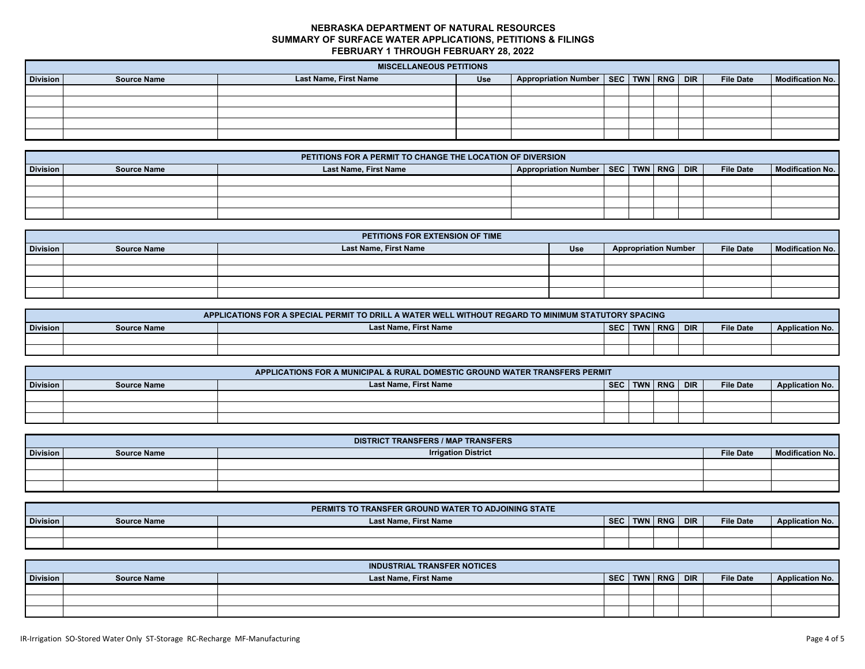|                 | <b>MISCELLANEOUS PETITIONS</b> |                       |            |                                              |  |  |  |  |                  |                         |
|-----------------|--------------------------------|-----------------------|------------|----------------------------------------------|--|--|--|--|------------------|-------------------------|
| <b>Division</b> | <b>Source Name</b>             | Last Name, First Name | <b>Use</b> | Appropriation Number   SEC   TWN   RNG   DIR |  |  |  |  | <b>File Date</b> | <b>Modification No.</b> |
|                 |                                |                       |            |                                              |  |  |  |  |                  |                         |
|                 |                                |                       |            |                                              |  |  |  |  |                  |                         |
|                 |                                |                       |            |                                              |  |  |  |  |                  |                         |
|                 |                                |                       |            |                                              |  |  |  |  |                  |                         |
|                 |                                |                       |            |                                              |  |  |  |  |                  |                         |

|                                                                                                                                                                 | PETITIONS FOR A PERMIT TO CHANGE THE LOCATION OF DIVERSION |  |  |  |  |  |  |  |  |  |  |
|-----------------------------------------------------------------------------------------------------------------------------------------------------------------|------------------------------------------------------------|--|--|--|--|--|--|--|--|--|--|
| Appropriation Number   SEC   TWN   RNG   DIR  <br><b>Last Name, First Name</b><br><b>Division</b><br>Modification No.<br><b>File Date</b><br><b>Source Name</b> |                                                            |  |  |  |  |  |  |  |  |  |  |
|                                                                                                                                                                 |                                                            |  |  |  |  |  |  |  |  |  |  |
|                                                                                                                                                                 |                                                            |  |  |  |  |  |  |  |  |  |  |
|                                                                                                                                                                 |                                                            |  |  |  |  |  |  |  |  |  |  |
|                                                                                                                                                                 |                                                            |  |  |  |  |  |  |  |  |  |  |

|                 | PETITIONS FOR EXTENSION OF TIME |                       |            |                             |                  |                  |  |  |  |  |  |
|-----------------|---------------------------------|-----------------------|------------|-----------------------------|------------------|------------------|--|--|--|--|--|
| <b>Division</b> | <b>Source Name</b>              | Last Name, First Name | <b>Use</b> | <b>Appropriation Number</b> | <b>File Date</b> | Modification No. |  |  |  |  |  |
|                 |                                 |                       |            |                             |                  |                  |  |  |  |  |  |
|                 |                                 |                       |            |                             |                  |                  |  |  |  |  |  |
|                 |                                 |                       |            |                             |                  |                  |  |  |  |  |  |
|                 |                                 |                       |            |                             |                  |                  |  |  |  |  |  |

|          | APPLICATIONS FOR A SPECIAL PERMIT TO DRILL A WATER WELL WITHOUT REGARD TO MINIMUM STATUTORY SPACING |                              |            |  |           |            |                  |                        |  |  |  |
|----------|-----------------------------------------------------------------------------------------------------|------------------------------|------------|--|-----------|------------|------------------|------------------------|--|--|--|
| Division | <b>Source Name</b>                                                                                  | <b>Last Name, First Name</b> | <b>SEC</b> |  | TWN   RNG | <b>DIR</b> | <b>File Date</b> | <b>Application No.</b> |  |  |  |
|          |                                                                                                     |                              |            |  |           |            |                  |                        |  |  |  |
|          |                                                                                                     |                              |            |  |           |            |                  |                        |  |  |  |

|          | APPLICATIONS FOR A MUNICIPAL & RURAL DOMESTIC GROUND WATER TRANSFERS PERMIT |                       |            |  |         |            |                  |                        |  |  |  |
|----------|-----------------------------------------------------------------------------|-----------------------|------------|--|---------|------------|------------------|------------------------|--|--|--|
| Division | <b>Source Name</b>                                                          | Last Name, First Name | <b>SEC</b> |  | TWN RNG | <b>DIR</b> | <b>File Date</b> | <b>Application No.</b> |  |  |  |
|          |                                                                             |                       |            |  |         |            |                  |                        |  |  |  |
|          |                                                                             |                       |            |  |         |            |                  |                        |  |  |  |
|          |                                                                             |                       |            |  |         |            |                  |                        |  |  |  |

|                 | <b>DISTRICT TRANSFERS / MAP TRANSFERS</b> |                            |                  |                  |  |  |  |  |  |  |  |  |
|-----------------|-------------------------------------------|----------------------------|------------------|------------------|--|--|--|--|--|--|--|--|
| <b>Division</b> | <b>Source Name</b>                        | <b>Irrigation District</b> | <b>File Date</b> | Modification No. |  |  |  |  |  |  |  |  |
|                 |                                           |                            |                  |                  |  |  |  |  |  |  |  |  |
|                 |                                           |                            |                  |                  |  |  |  |  |  |  |  |  |
|                 |                                           |                            |                  |                  |  |  |  |  |  |  |  |  |

|                 |                    | PERMITS TO TRANSFER GROUND WATER TO ADJOINING STATE |            |            |            |            |                  |                        |
|-----------------|--------------------|-----------------------------------------------------|------------|------------|------------|------------|------------------|------------------------|
| <b>Division</b> | <b>Source Name</b> | <b>Last Name, First Name</b>                        | <b>SEC</b> | <b>TWN</b> | <b>RNG</b> | <b>DIR</b> | <b>File Date</b> | <b>Application No.</b> |
|                 |                    |                                                     |            |            |            |            |                  |                        |
|                 |                    |                                                     |            |            |            |            |                  |                        |

|                 |                    | <b>INDUSTRIAL TRANSFER NOTICES</b> |            |             |                  |                        |
|-----------------|--------------------|------------------------------------|------------|-------------|------------------|------------------------|
| <b>Division</b> | <b>Source Name</b> | <b>Last Name, First Name</b>       | <b>SEC</b> | TWN RNG DIR | <b>File Date</b> | <b>Application No.</b> |
|                 |                    |                                    |            |             |                  |                        |
|                 |                    |                                    |            |             |                  |                        |
|                 |                    |                                    |            |             |                  |                        |